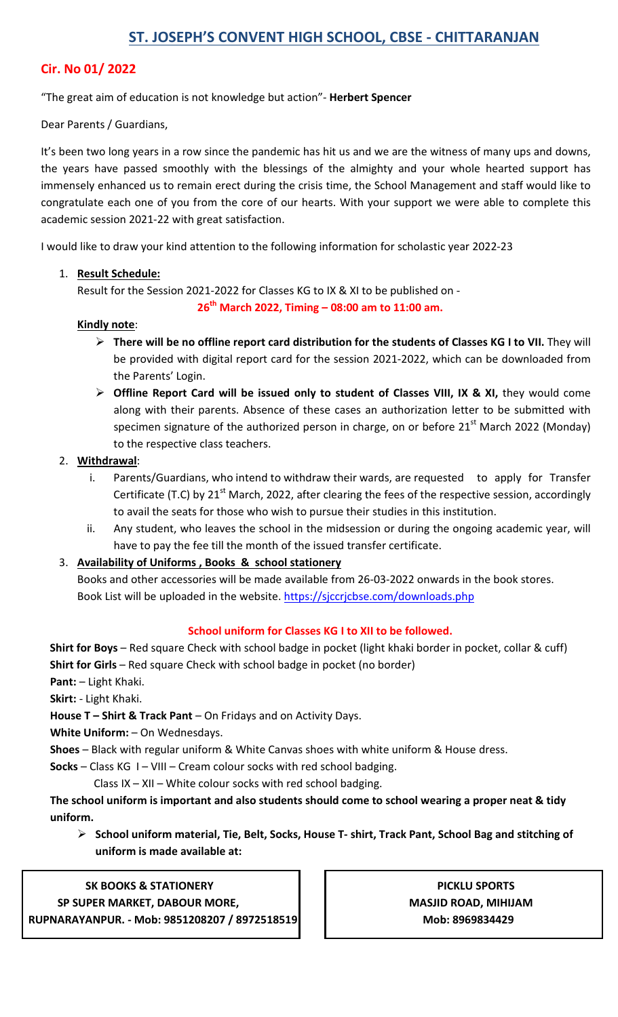# **Cir. No 01/ 2022**

## "The great aim of education is not knowledge but action"- **Herbert Spencer**

### Dear Parents / Guardians,

It's been two long years in a row since the pandemic has hit us and we are the witness of many ups and downs, the years have passed smoothly with the blessings of the almighty and your whole hearted support has immensely enhanced us to remain erect during the crisis time, the School Management and staff would like to congratulate each one of you from the core of our hearts. With your support we were able to complete this academic session 2021-22 with great satisfaction.

I would like to draw your kind attention to the following information for scholastic year 2022-23

## 1. **Result Schedule:**

Result for the Session 2021-2022 for Classes KG to IX & XI to be published on -

**26th March 2022, Timing – 08:00 am to 11:00 am.** 

### **Kindly note**:

- **There will be no offline report card distribution for the students of Classes KG I to VII.** They will be provided with digital report card for the session 2021-2022, which can be downloaded from the Parents' Login.
- **Offline Report Card will be issued only to student of Classes VIII, IX & XI,** they would come along with their parents. Absence of these cases an authorization letter to be submitted with specimen signature of the authorized person in charge, on or before  $21<sup>st</sup>$  March 2022 (Monday) to the respective class teachers.

## 2. **Withdrawal**:

- i. Parents/Guardians, who intend to withdraw their wards, are requested to apply for Transfer Certificate (T.C) by 21 $^{\rm st}$  March, 2022, after clearing the fees of the respective session, accordingly to avail the seats for those who wish to pursue their studies in this institution.
- ii. Any student, who leaves the school in the midsession or during the ongoing academic year, will have to pay the fee till the month of the issued transfer certificate.

## 3. **Availability of Uniforms , Books & school stationery**

 Books and other accessories will be made available from 26-03-2022 onwards in the book stores. Book List will be uploaded in the website. https://sjccrjcbse.com/downloads.php

### **School uniform for Classes KG I to XII to be followed.**

**Shirt for Boys** – Red square Check with school badge in pocket (light khaki border in pocket, collar & cuff) **Shirt for Girls** – Red square Check with school badge in pocket (no border)

**Pant:** – Light Khaki.

**Skirt:** - Light Khaki.

**House T – Shirt & Track Pant** – On Fridays and on Activity Days.

**White Uniform:** – On Wednesdays.

**Shoes** – Black with regular uniform & White Canvas shoes with white uniform & House dress.

**Socks** – Class KG I – VIII – Cream colour socks with red school badging.

Class IX – XII – White colour socks with red school badging.

**The school uniform is important and also students should come to school wearing a proper neat & tidy uniform.** 

 **School uniform material, Tie, Belt, Socks, House T- shirt, Track Pant, School Bag and stitching of uniform is made available at:** 

### **SK BOOKS & STATIONERY PICKLU SPORTS**

 **SP SUPER MARKET, DABOUR MORE, MASJID ROAD, MIHIJAM ASSID ROAD, MIHIJAM RUPNARAYANPUR. - Mob: 9851208207 / 8972518519 Mob: 8969834429**